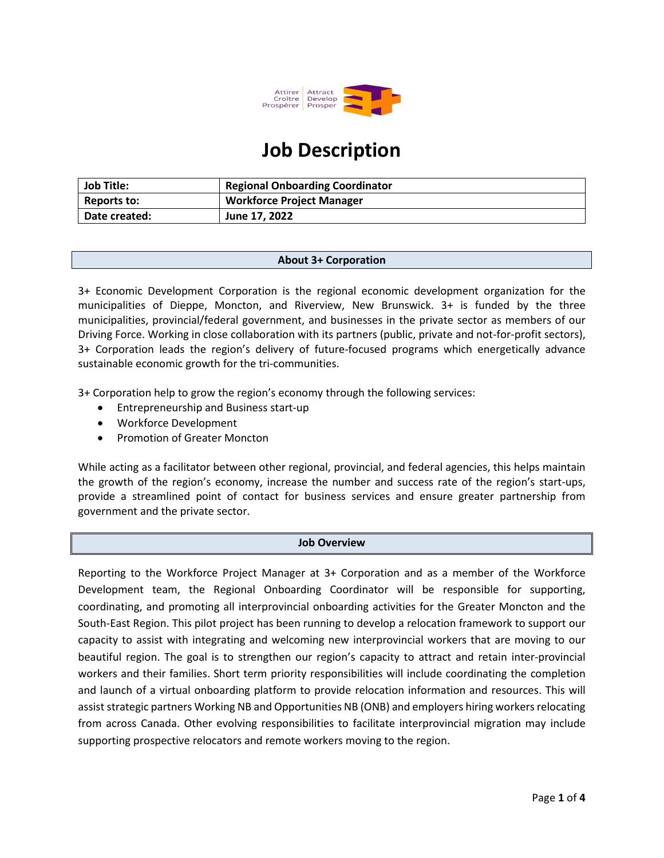

# **Job Description**

| <b>Job Title:</b>  | <b>Regional Onboarding Coordinator</b> |
|--------------------|----------------------------------------|
| <b>Reports to:</b> | <b>Workforce Project Manager</b>       |
| Date created:      | June 17, 2022                          |

#### **About 3+ Corporation**

3+ Economic Development Corporation is the regional economic development organization for the municipalities of Dieppe, Moncton, and Riverview, New Brunswick. 3+ is funded by the three municipalities, provincial/federal government, and businesses in the private sector as members of our Driving Force. Working in close collaboration with its partners (public, private and not-for-profit sectors), 3+ Corporation leads the region's delivery of future-focused programs which energetically advance sustainable economic growth for the tri-communities.

3+ Corporation help to grow the region's economy through the following services:

- Entrepreneurship and Business start-up
- Workforce Development
- Promotion of Greater Moncton

While acting as a facilitator between other regional, provincial, and federal agencies, this helps maintain the growth of the region's economy, increase the number and success rate of the region's start-ups, provide a streamlined point of contact for business services and ensure greater partnership from government and the private sector.

#### **Job Overview**

Reporting to the Workforce Project Manager at 3+ Corporation and as a member of the Workforce Development team, the Regional Onboarding Coordinator will be responsible for supporting, coordinating, and promoting all interprovincial onboarding activities for the Greater Moncton and the South-East Region. This pilot project has been running to develop a relocation framework to support our capacity to assist with integrating and welcoming new interprovincial workers that are moving to our beautiful region. The goal is to strengthen our region's capacity to attract and retain inter-provincial workers and their families. Short term priority responsibilities will include coordinating the completion and launch of a virtual onboarding platform to provide relocation information and resources. This will assist strategic partners Working NB and Opportunities NB (ONB) and employers hiring workers relocating from across Canada. Other evolving responsibilities to facilitate interprovincial migration may include supporting prospective relocators and remote workers moving to the region.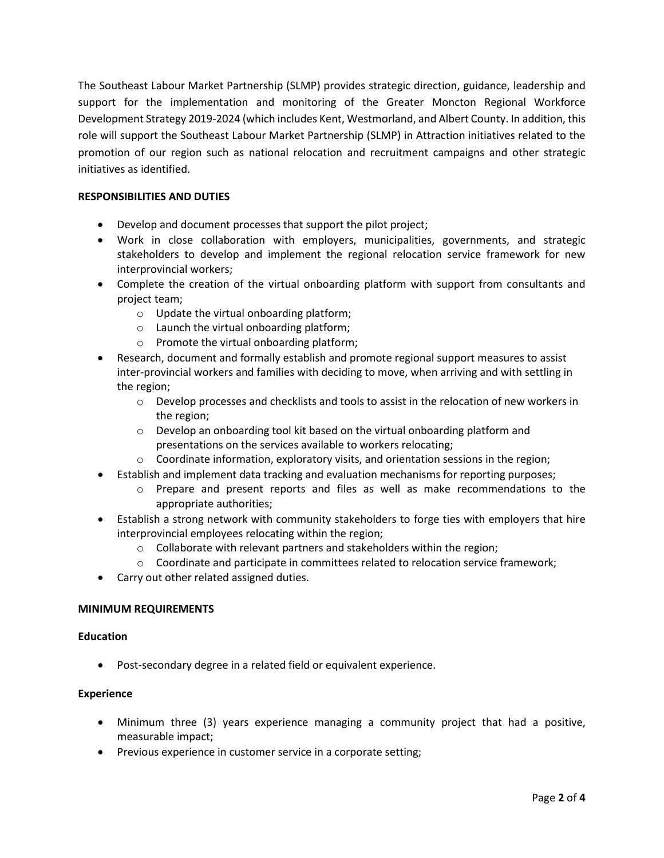The Southeast Labour Market Partnership (SLMP) provides strategic direction, guidance, leadership and support for the implementation and monitoring of the Greater Moncton Regional Workforce Development Strategy 2019-2024 (which includes Kent, Westmorland, and Albert County. In addition, this role will support the Southeast Labour Market Partnership (SLMP) in Attraction initiatives related to the promotion of our region such as national relocation and recruitment campaigns and other strategic initiatives as identified.

# **RESPONSIBILITIES AND DUTIES**

- Develop and document processes that support the pilot project;
- Work in close collaboration with employers, municipalities, governments, and strategic stakeholders to develop and implement the regional relocation service framework for new interprovincial workers;
- Complete the creation of the virtual onboarding platform with support from consultants and project team;
	- o Update the virtual onboarding platform;
	- o Launch the virtual onboarding platform;
	- o Promote the virtual onboarding platform;
- Research, document and formally establish and promote regional support measures to assist inter-provincial workers and families with deciding to move, when arriving and with settling in the region;
	- $\circ$  Develop processes and checklists and tools to assist in the relocation of new workers in the region;
	- $\circ$  Develop an onboarding tool kit based on the virtual onboarding platform and presentations on the services available to workers relocating;
	- $\circ$  Coordinate information, exploratory visits, and orientation sessions in the region;
- Establish and implement data tracking and evaluation mechanisms for reporting purposes;
	- o Prepare and present reports and files as well as make recommendations to the appropriate authorities;
- Establish a strong network with community stakeholders to forge ties with employers that hire interprovincial employees relocating within the region;
	- o Collaborate with relevant partners and stakeholders within the region;
	- $\circ$  Coordinate and participate in committees related to relocation service framework;
- Carry out other related assigned duties.

## **MINIMUM REQUIREMENTS**

#### **Education**

• Post-secondary degree in a related field or equivalent experience.

## **Experience**

- Minimum three (3) years experience managing a community project that had a positive, measurable impact;
- Previous experience in customer service in a corporate setting;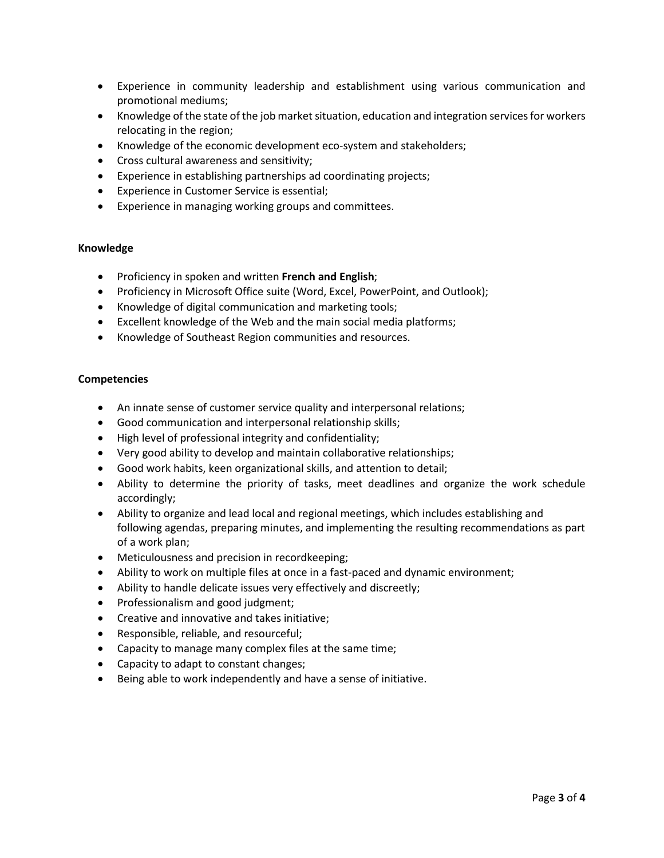- Experience in community leadership and establishment using various communication and promotional mediums;
- Knowledge of the state of the job market situation, education and integration services for workers relocating in the region;
- Knowledge of the economic development eco-system and stakeholders;
- Cross cultural awareness and sensitivity;
- Experience in establishing partnerships ad coordinating projects;
- Experience in Customer Service is essential;
- Experience in managing working groups and committees.

#### **Knowledge**

- Proficiency in spoken and written **French and English**;
- Proficiency in Microsoft Office suite (Word, Excel, PowerPoint, and Outlook);
- Knowledge of digital communication and marketing tools;
- Excellent knowledge of the Web and the main social media platforms;
- Knowledge of Southeast Region communities and resources.

#### **Competencies**

- An innate sense of customer service quality and interpersonal relations;
- Good communication and interpersonal relationship skills;
- High level of professional integrity and confidentiality;
- Very good ability to develop and maintain collaborative relationships;
- Good work habits, keen organizational skills, and attention to detail;
- Ability to determine the priority of tasks, meet deadlines and organize the work schedule accordingly;
- Ability to organize and lead local and regional meetings, which includes establishing and following agendas, preparing minutes, and implementing the resulting recommendations as part of a work plan;
- Meticulousness and precision in recordkeeping;
- Ability to work on multiple files at once in a fast-paced and dynamic environment;
- Ability to handle delicate issues very effectively and discreetly;
- Professionalism and good judgment;
- Creative and innovative and takes initiative;
- Responsible, reliable, and resourceful;
- Capacity to manage many complex files at the same time;
- Capacity to adapt to constant changes;
- Being able to work independently and have a sense of initiative.